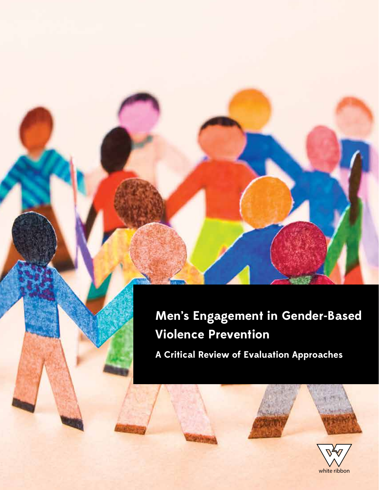## **Men's Engagement in Gender-Based Violence Prevention**

**A Critical Review of Evaluation Approaches**

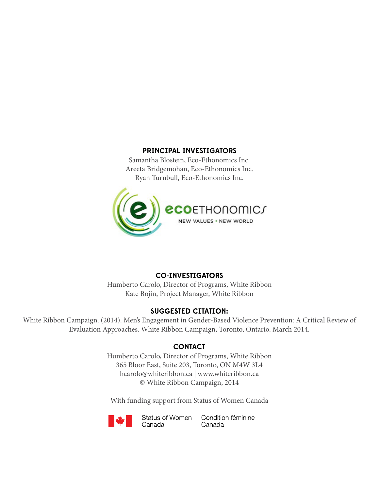#### **Principal InvestigatorS**

Samantha Blostein, Eco-Ethonomics Inc. Areeta Bridgemohan, Eco-Ethonomics Inc. Ryan Turnbull, Eco-Ethonomics Inc.



#### **Co-InvestigatorS**

Humberto Carolo, Director of Programs, White Ribbon Kate Bojin, Project Manager, White Ribbon

#### **Suggested Citation:**

White Ribbon Campaign. (2014). Men's Engagement in Gender-Based Violence Prevention: A Critical Review of Evaluation Approaches. White Ribbon Campaign, Toronto, Ontario. March 2014.

#### **Contact**

Humberto Carolo, Director of Programs, White Ribbon 365 Bloor East, Suite 203, Toronto, ON M4W 3L4 hcarolo@whiteribbon.ca | www.whiteribbon.ca © White Ribbon Campaign, 2014

With funding support from Status of Women Canada



**Status of Women** Canada

Condition féminine Canada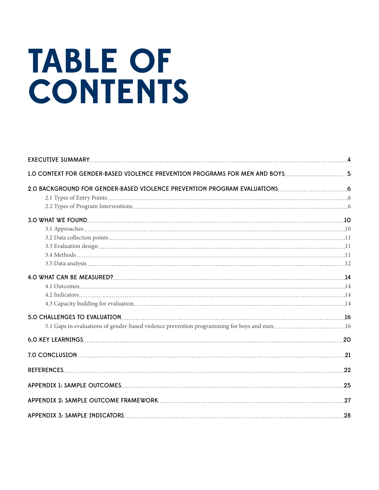## **Table of Contents**

| 1.0 CONTEXT FOR GENDER-BASED VIOLENCE PREVENTION PROGRAMS FOR MEN AND BOYS5 |  |  |
|-----------------------------------------------------------------------------|--|--|
|                                                                             |  |  |
|                                                                             |  |  |
|                                                                             |  |  |
|                                                                             |  |  |
|                                                                             |  |  |
|                                                                             |  |  |
|                                                                             |  |  |
|                                                                             |  |  |
|                                                                             |  |  |
|                                                                             |  |  |
|                                                                             |  |  |
|                                                                             |  |  |
|                                                                             |  |  |
|                                                                             |  |  |
|                                                                             |  |  |
|                                                                             |  |  |
|                                                                             |  |  |
|                                                                             |  |  |
|                                                                             |  |  |
|                                                                             |  |  |
|                                                                             |  |  |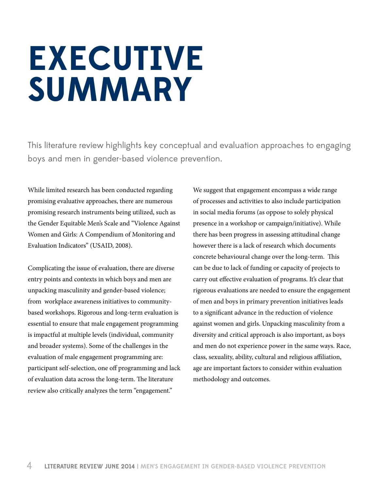## **EXECUTIVE Summary**

This literature review highlights key conceptual and evaluation approaches to engaging boys and men in gender-based violence prevention.

While limited research has been conducted regarding promising evaluative approaches, there are numerous promising research instruments being utilized, such as the Gender Equitable Men's Scale and "Violence Against Women and Girls: A Compendium of Monitoring and Evaluation Indicators" (USAID, 2008).

Complicating the issue of evaluation, there are diverse entry points and contexts in which boys and men are unpacking masculinity and gender-based violence; from workplace awareness initiatives to communitybased workshops. Rigorous and long-term evaluation is essential to ensure that male engagement programming is impactful at multiple levels (individual, community and broader systems). Some of the challenges in the evaluation of male engagement programming are: participant self-selection, one off programming and lack of evaluation data across the long-term. The literature review also critically analyzes the term "engagement."

We suggest that engagement encompass a wide range of processes and activities to also include participation in social media forums (as oppose to solely physical presence in a workshop or campaign/initiative). While there has been progress in assessing attitudinal change however there is a lack of research which documents concrete behavioural change over the long-term. This can be due to lack of funding or capacity of projects to carry out effective evaluation of programs. It's clear that rigorous evaluations are needed to ensure the engagement of men and boys in primary prevention initiatives leads to a significant advance in the reduction of violence against women and girls. Unpacking masculinity from a diversity and critical approach is also important, as boys and men do not experience power in the same ways. Race, class, sexuality, ability, cultural and religious affiliation, age are important factors to consider within evaluation methodology and outcomes.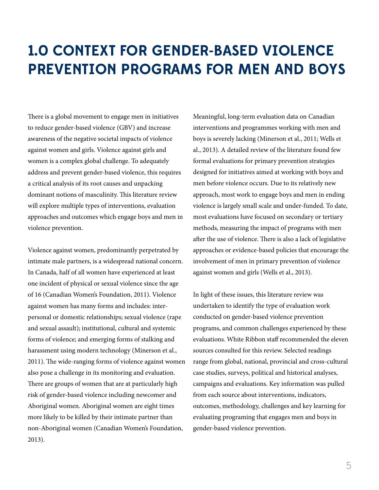### **1.0 Context for gender-based violence prevention programs for men and boys**

There is a global movement to engage men in initiatives to reduce gender-based violence (GBV) and increase awareness of the negative societal impacts of violence against women and girls. Violence against girls and women is a complex global challenge. To adequately address and prevent gender-based violence, this requires a critical analysis of its root causes and unpacking dominant notions of masculinity. This literature review will explore multiple types of interventions, evaluation approaches and outcomes which engage boys and men in violence prevention.

Violence against women, predominantly perpetrated by intimate male partners, is a widespread national concern. In Canada, half of all women have experienced at least one incident of physical or sexual violence since the age of 16 (Canadian Women's Foundation, 2011). Violence against women has many forms and includes: interpersonal or domestic relationships; sexual violence (rape and sexual assault); institutional, cultural and systemic forms of violence; and emerging forms of stalking and harassment using modern technology (Minerson et al., 2011). The wide-ranging forms of violence against women also pose a challenge in its monitoring and evaluation. There are groups of women that are at particularly high risk of gender-based violence including newcomer and Aboriginal women. Aboriginal women are eight times more likely to be killed by their intimate partner than non-Aboriginal women (Canadian Women's Foundation, 2013).

Meaningful, long-term evaluation data on Canadian interventions and programmes working with men and boys is severely lacking (Minerson et al., 2011; Wells et al., 2013). A detailed review of the literature found few formal evaluations for primary prevention strategies designed for initiatives aimed at working with boys and men before violence occurs. Due to its relatively new approach, most work to engage boys and men in ending violence is largely small scale and under-funded. To date, most evaluations have focused on secondary or tertiary methods, measuring the impact of programs with men after the use of violence. There is also a lack of legislative approaches or evidence-based policies that encourage the involvement of men in primary prevention of violence against women and girls (Wells et al., 2013).

In light of these issues, this literature review was undertaken to identify the type of evaluation work conducted on gender-based violence prevention programs, and common challenges experienced by these evaluations. White Ribbon staff recommended the eleven sources consulted for this review. Selected readings range from global, national, provincial and cross-cultural case studies, surveys, political and historical analyses, campaigns and evaluations. Key information was pulled from each source about interventions, indicators, outcomes, methodology, challenges and key learning for evaluating programing that engages men and boys in gender-based violence prevention.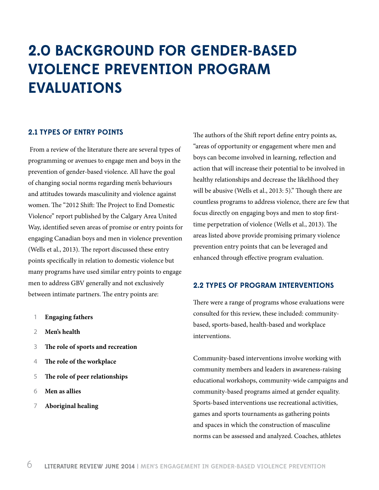### **2.0 Background for gender-based violence prevention program evaluations**

#### **2.1 Types of Entry Points**

 From a review of the literature there are several types of programming or avenues to engage men and boys in the prevention of gender-based violence. All have the goal of changing social norms regarding men's behaviours and attitudes towards masculinity and violence against women. The "2012 Shift: The Project to End Domestic Violence" report published by the Calgary Area United Way, identified seven areas of promise or entry points for engaging Canadian boys and men in violence prevention (Wells et al., 2013). The report discussed these entry points specifically in relation to domestic violence but many programs have used similar entry points to engage men to address GBV generally and not exclusively between intimate partners. The entry points are:

- 1 **Engaging fathers**
- 2 **Men's health**
- 3 **The role of sports and recreation**
- 4 **The role of the workplace**
- 5 **The role of peer relationships**
- 6 **Men as allies**
- 7 **Aboriginal healing**

The authors of the Shift report define entry points as, "areas of opportunity or engagement where men and boys can become involved in learning, reflection and action that will increase their potential to be involved in healthy relationships and decrease the likelihood they will be abusive (Wells et al., 2013: 5)." Though there are countless programs to address violence, there are few that focus directly on engaging boys and men to stop firsttime perpetration of violence (Wells et al., 2013). The areas listed above provide promising primary violence prevention entry points that can be leveraged and enhanced through effective program evaluation.

#### **2.2 Types of Program Interventions**

There were a range of programs whose evaluations were consulted for this review, these included: communitybased, sports-based, health-based and workplace interventions.

Community-based interventions involve working with community members and leaders in awareness-raising educational workshops, community-wide campaigns and community-based programs aimed at gender equality. Sports-based interventions use recreational activities, games and sports tournaments as gathering points and spaces in which the construction of masculine norms can be assessed and analyzed. Coaches, athletes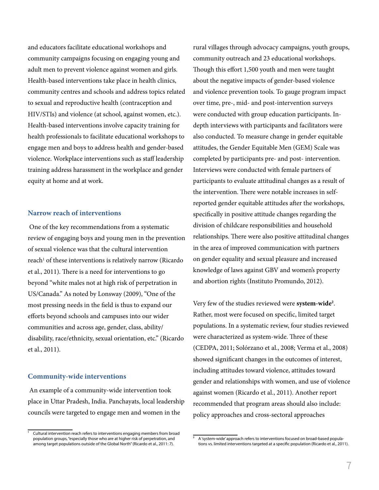and educators facilitate educational workshops and community campaigns focusing on engaging young and adult men to prevent violence against women and girls. Health-based interventions take place in health clinics, community centres and schools and address topics related to sexual and reproductive health (contraception and HIV/STIs) and violence (at school, against women, etc.). Health-based interventions involve capacity training for health professionals to facilitate educational workshops to engage men and boys to address health and gender-based violence. Workplace interventions such as staff leadership training address harassment in the workplace and gender equity at home and at work.

#### **Narrow reach of interventions**

One of the key recommendations from a systematic review of engaging boys and young men in the prevention of sexual violence was that the cultural intervention reach<sup>1</sup> of these interventions is relatively narrow (Ricardo) et al., 2011). There is a need for interventions to go beyond "white males not at high risk of perpetration in US/Canada." As noted by Lonsway (2009), "One of the most pressing needs in the field is thus to expand our efforts beyond schools and campuses into our wider communities and across age, gender, class, ability/ disability, race/ethnicity, sexual orientation, etc." (Ricardo et al., 2011).

#### **Community-wide interventions**

An example of a community-wide intervention took place in Uttar Pradesh, India. Panchayats, local leadership councils were targeted to engage men and women in the

rural villages through advocacy campaigns, youth groups, community outreach and 23 educational workshops. Though this effort 1,500 youth and men were taught about the negative impacts of gender-based violence and violence prevention tools. To gauge program impact over time, pre-, mid- and post-intervention surveys were conducted with group education participants. Indepth interviews with participants and facilitators were also conducted. To measure change in gender equitable attitudes, the Gender Equitable Men (GEM) Scale was completed by participants pre- and post- intervention. Interviews were conducted with female partners of participants to evaluate attitudinal changes as a result of the intervention. There were notable increases in selfreported gender equitable attitudes after the workshops, specifically in positive attitude changes regarding the division of childcare responsibilities and household relationships. There were also positive attitudinal changes in the area of improved communication with partners on gender equality and sexual pleasure and increased knowledge of laws against GBV and women's property and abortion rights (Instituto Promundo, 2012).

Very few of the studies reviewed were **system-wide2** . Rather, most were focused on specific, limited target populations. In a systematic review, four studies reviewed were characterized as system-wide. Three of these (CEDPA, 2011; Solórzano et al., 2008; Verma et al., 2008) showed significant changes in the outcomes of interest, including attitudes toward violence, attitudes toward gender and relationships with women, and use of violence against women (Ricardo et al., 2011). Another report recommended that program areas should also include: policy approaches and cross-sectoral approaches

Cultural intervention reach refers to interventions engaging members from broad population groups, "especially those who are at higher risk of perpetration, and among target populations outside of the Global North" (Ricardo et al., 2011: 7).

A 'system-wide' approach refers to interventions focused on broad-based populations vs. limited interventions targeted at a specific population (Ricardo et al., 2011).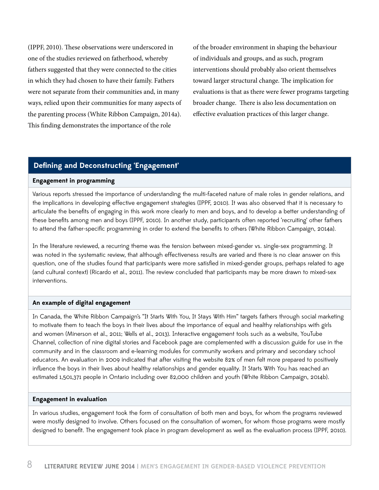(IPPF, 2010). These observations were underscored in one of the studies reviewed on fatherhood, whereby fathers suggested that they were connected to the cities in which they had chosen to have their family. Fathers were not separate from their communities and, in many ways, relied upon their communities for many aspects of the parenting process (White Ribbon Campaign, 2014a). This finding demonstrates the importance of the role

of the broader environment in shaping the behaviour of individuals and groups, and as such, program interventions should probably also orient themselves toward larger structural change. The implication for evaluations is that as there were fewer programs targeting broader change. There is also less documentation on effective evaluation practices of this larger change.

#### **Defining and Deconstructing 'Engagement'**

#### **Engagement in programming**

Various reports stressed the importance of understanding the multi-faceted nature of male roles in gender relations, and the implications in developing effective engagement strategies (IPPF, 2010). It was also observed that it is necessary to articulate the benefits of engaging in this work more clearly to men and boys, and to develop a better understanding of these benefits among men and boys (IPPF, 2010). In another study, participants often reported 'recruiting' other fathers to attend the father-specific programming in order to extend the benefits to others (White Ribbon Campaign, 2014a).

In the literature reviewed, a recurring theme was the tension between mixed-gender vs. single-sex programming. It was noted in the systematic review, that although effectiveness results are varied and there is no clear answer on this question, one of the studies found that participants were more satisfied in mixed-gender groups, perhaps related to age (and cultural context) (Ricardo et al., 2011). The review concluded that participants may be more drawn to mixed-sex interventions.

#### **An example of digital engagement**

In Canada, the White Ribbon Campaign's "It Starts With You, It Stays With Him" targets fathers through social marketing to motivate them to teach the boys in their lives about the importance of equal and healthy relationships with girls and women (Minerson et al., 2011; Wells et al., 2013). Interactive engagement tools such as a website, YouTube Channel, collection of nine digital stories and Facebook page are complemented with a discussion guide for use in the community and in the classroom and e-learning modules for community workers and primary and secondary school educators. An evaluation in 2009 indicated that after visiting the website 82% of men felt more prepared to positively influence the boys in their lives about healthy relationships and gender equality. It Starts With You has reached an estimated 1,501,371 people in Ontario including over 82,000 children and youth (White Ribbon Campaign, 2014b).

#### **Engagement in evaluation**

In various studies, engagement took the form of consultation of both men and boys, for whom the programs reviewed were mostly designed to involve. Others focused on the consultation of women, for whom those programs were mostly designed to benefit. The engagement took place in program development as well as the evaluation process (IPPF, 2010).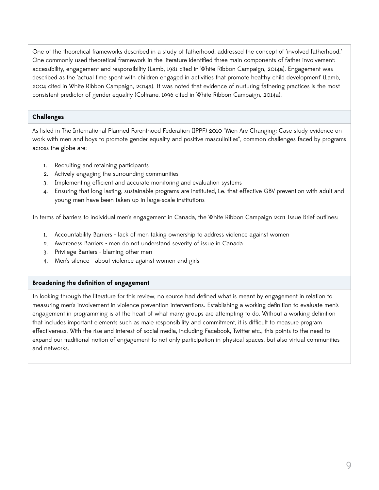One of the theoretical frameworks described in a study of fatherhood, addressed the concept of 'involved fatherhood.' One commonly used theoretical framework in the literature identified three main components of father involvement: accessibility, engagement and responsibility (Lamb, 1981 cited in White Ribbon Campaign, 2014a). Engagement was described as the 'actual time spent with children engaged in activities that promote healthy child development' (Lamb, 2004 cited in White Ribbon Campaign, 2014a). It was noted that evidence of nurturing fathering practices is the most consistent predictor of gender equality (Coltrane, 1996 cited in White Ribbon Campaign, 2014a).

#### **Challenges**

As listed in The International Planned Parenthood Federation (IPPF) 2010 "Men Are Changing: Case study evidence on work with men and boys to promote gender equality and positive masculinities", common challenges faced by programs across the globe are:

- 1. Recruiting and retaining participants
- 2. Actively engaging the surrounding communities
- 3. Implementing efficient and accurate monitoring and evaluation systems
- 4. Ensuring that long lasting, sustainable programs are instituted, i.e. that effective GBV prevention with adult and young men have been taken up in large-scale institutions

In terms of barriers to individual men's engagement in Canada, the White Ribbon Campaign 2011 Issue Brief outlines:

- 1. Accountability Barriers lack of men taking ownership to address violence against women
- 2. Awareness Barriers men do not understand severity of issue in Canada
- 3. Privilege Barriers blaming other men
- 4. Men's silence about violence against women and girls

#### **Broadening the definition of engagement**

In looking through the literature for this review, no source had defined what is meant by engagement in relation to measuring men's involvement in violence prevention interventions. Establishing a working definition to evaluate men's engagement in programming is at the heart of what many groups are attempting to do. Without a working definition that includes important elements such as male responsibility and commitment, it is difficult to measure program effectiveness. With the rise and interest of social media, including Facebook, Twitter etc., this points to the need to expand our traditional notion of engagement to not only participation in physical spaces, but also virtual communities and networks.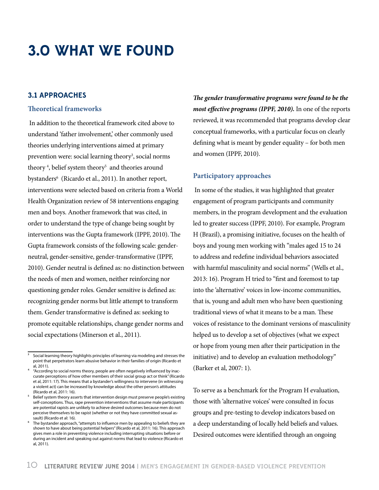### **3.0 What we found**

#### **3.1 Approaches**

#### **Theoretical frameworks**

 In addition to the theoretical framework cited above to understand 'father involvement,' other commonly used theories underlying interventions aimed at primary prevention were: social learning theory<sup>3</sup>, social norms theory<sup>4</sup>, belief system theory<sup>5</sup> and theories around bystanders<sup>6</sup> (Ricardo et al., 2011). In another report, interventions were selected based on criteria from a World Health Organization review of 58 interventions engaging men and boys. Another framework that was cited, in order to understand the type of change being sought by interventions was the Gupta framework (IPPF, 2010). The Gupta framework consists of the following scale: genderneutral, gender-sensitive, gender-transformative (IPPF, 2010). Gender neutral is defined as: no distinction between the needs of men and women, neither reinforcing nor questioning gender roles. Gender sensitive is defined as: recognizing gender norms but little attempt to transform them. Gender transformative is defined as: seeking to promote equitable relationships, change gender norms and social expectations (Minerson et al., 2011).

*The gender transformative programs were found to be the most effective programs (IPPF, 2010).* In one of the reports reviewed, it was recommended that programs develop clear conceptual frameworks, with a particular focus on clearly defining what is meant by gender equality – for both men and women (IPPF, 2010).

#### **Participatory approaches**

 In some of the studies, it was highlighted that greater engagement of program participants and community members, in the program development and the evaluation led to greater success (IPPF, 2010). For example, Program H (Brazil), a promising initiative, focuses on the health of boys and young men working with "males aged 15 to 24 to address and redefine individual behaviors associated with harmful masculinity and social norms" (Wells et al., 2013: 16). Program H tried to "first and foremost to tap into the 'alternative' voices in low-income communities, that is, young and adult men who have been questioning traditional views of what it means to be a man. These voices of resistance to the dominant versions of masculinity helped us to develop a set of objectives (what we expect or hope from young men after their participation in the initiative) and to develop an evaluation methodology" (Barker et al, 2007: 1).

To serve as a benchmark for the Program H evaluation, those with 'alternative voices' were consulted in focus groups and pre-testing to develop indicators based on a deep understanding of locally held beliefs and values. Desired outcomes were identified through an ongoing

<sup>3</sup> Social learning theory highlights principles of learning via modeling and stresses the point that perpetrators learn abusive behavior in their families of origin (Ricardo et al, 2011).

<sup>4</sup> "According to social norms theory, people are often negatively influenced by inaccurate perceptions of how other members of their social group act or think" (Ricardo et al, 2011: 17). This means that a bystander's willingness to intervene (in witnessing a violent act) can be increased by knowledge about the other person's attitudes (Ricardo et al, 2011: 16).

<sup>&</sup>lt;sup>5</sup> Belief system theory asserts that intervention design must preserve people's existing self-conceptions. Thus, rape prevention interventions that assume male participants are potential rapists are unlikely to achieve desired outcomes because men do not perceive themselves to be rapist (whether or not they have committed sexual assault) (Ricardo et al: 16).

<sup>&</sup>lt;sup>6</sup> The bystander approach, "attempts to influence men by appealing to beliefs they are shown to have about being potential helpers" (Ricardo et al, 2011: 16). This approach gives men a role in preventing violence including interrupting situations before or during an incident and speaking out against norms that lead to violence (Ricardo et al, 2011).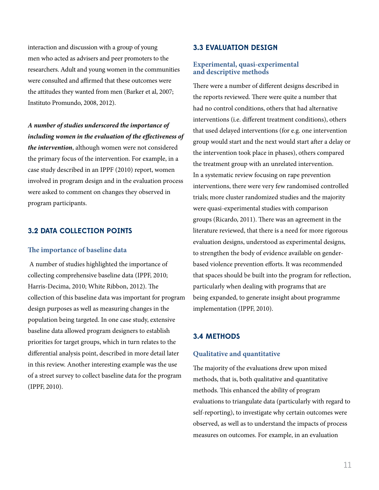interaction and discussion with a group of young men who acted as advisers and peer promoters to the researchers. Adult and young women in the communities were consulted and affirmed that these outcomes were the attitudes they wanted from men (Barker et al, 2007; Instituto Promundo, 2008, 2012).

*A number of studies underscored the importance of including women in the evaluation of the effectiveness of the intervention*, although women were not considered the primary focus of the intervention. For example, in a case study described in an IPPF (2010) report, women involved in program design and in the evaluation process were asked to comment on changes they observed in program participants.

#### **3.2 Data collection points**

#### **The importance of baseline data**

 A number of studies highlighted the importance of collecting comprehensive baseline data (IPPF, 2010; Harris-Decima, 2010; White Ribbon, 2012). The collection of this baseline data was important for program design purposes as well as measuring changes in the population being targeted. In one case study, extensive baseline data allowed program designers to establish priorities for target groups, which in turn relates to the differential analysis point, described in more detail later in this review. Another interesting example was the use of a street survey to collect baseline data for the program (IPPF, 2010).

#### **3.3 Evaluation design**

#### **Experimental, quasi-experimental and descriptive methods**

There were a number of different designs described in the reports reviewed. There were quite a number that had no control conditions, others that had alternative interventions (i.e. different treatment conditions), others that used delayed interventions (for e.g. one intervention group would start and the next would start after a delay or the intervention took place in phases), others compared the treatment group with an unrelated intervention. In a systematic review focusing on rape prevention interventions, there were very few randomised controlled trials; more cluster randomized studies and the majority were quasi-experimental studies with comparison groups (Ricardo, 2011). There was an agreement in the literature reviewed, that there is a need for more rigorous evaluation designs, understood as experimental designs, to strengthen the body of evidence available on genderbased violence prevention efforts. It was recommended that spaces should be built into the program for reflection, particularly when dealing with programs that are being expanded, to generate insight about programme implementation (IPPF, 2010).

#### **3.4 Methods**

#### **Qualitative and quantitative**

The majority of the evaluations drew upon mixed methods, that is, both qualitative and quantitative methods. This enhanced the ability of program evaluations to triangulate data (particularly with regard to self-reporting), to investigate why certain outcomes were observed, as well as to understand the impacts of process measures on outcomes. For example, in an evaluation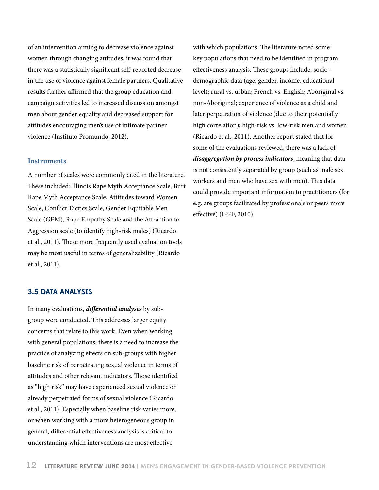of an intervention aiming to decrease violence against women through changing attitudes, it was found that there was a statistically significant self-reported decrease in the use of violence against female partners. Qualitative results further affirmed that the group education and campaign activities led to increased discussion amongst men about gender equality and decreased support for attitudes encouraging men's use of intimate partner violence (Instituto Promundo, 2012).

#### **Instruments**

A number of scales were commonly cited in the literature. These included: Illinois Rape Myth Acceptance Scale, Burt Rape Myth Acceptance Scale, Attitudes toward Women Scale, Conflict Tactics Scale, Gender Equitable Men Scale (GEM), Rape Empathy Scale and the Attraction to Aggression scale (to identify high-risk males) (Ricardo et al., 2011). These more frequently used evaluation tools may be most useful in terms of generalizability (Ricardo et al., 2011).

#### **3.5 Data analysis**

In many evaluations, *differential analyses* by subgroup were conducted. This addresses larger equity concerns that relate to this work. Even when working with general populations, there is a need to increase the practice of analyzing effects on sub-groups with higher baseline risk of perpetrating sexual violence in terms of attitudes and other relevant indicators. Those identified as "high risk" may have experienced sexual violence or already perpetrated forms of sexual violence (Ricardo et al., 2011). Especially when baseline risk varies more, or when working with a more heterogeneous group in general, differential effectiveness analysis is critical to understanding which interventions are most effective

with which populations. The literature noted some key populations that need to be identified in program effectiveness analysis. These groups include: sociodemographic data (age, gender, income, educational level); rural vs. urban; French vs. English; Aboriginal vs. non-Aboriginal; experience of violence as a child and later perpetration of violence (due to their potentially high correlation); high-risk vs. low-risk men and women (Ricardo et al., 2011). Another report stated that for some of the evaluations reviewed, there was a lack of *disaggregation by process indicators*, meaning that data is not consistently separated by group (such as male sex workers and men who have sex with men). This data could provide important information to practitioners (for e.g. are groups facilitated by professionals or peers more effective) (IPPF, 2010).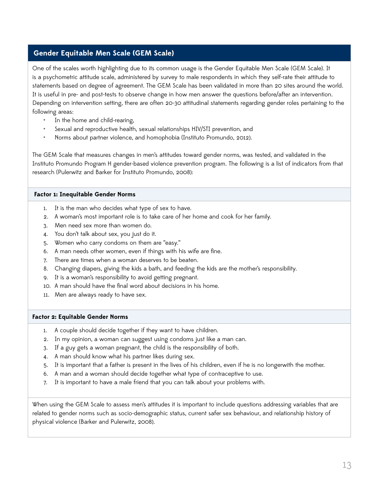#### **Gender Equitable Men Scale (GEM Scale)**

One of the scales worth highlighting due to its common usage is the Gender Equitable Men Scale (GEM Scale). It is a psychometric attitude scale, administered by survey to male respondents in which they self-rate their attitude to statements based on degree of agreement. The GEM Scale has been validated in more than 20 sites around the world. It is useful in pre- and post-tests to observe change in how men answer the questions before/after an intervention. Depending on intervention setting, there are often 20-30 attitudinal statements regarding gender roles pertaining to the following areas:

- In the home and child-rearing,
- Sexual and reproductive health, sexual relationships HIV/STI prevention, and
- Norms about partner violence, and homophobia (Instituto Promundo, 2012).

The GEM Scale that measures changes in men's attitudes toward gender norms, was tested, and validated in the Instituto Promundo Program H gender-based violence prevention program. The following is a list of indicators from that research (Pulerwitz and Barker for Instituto Promundo, 2008):

#### **Factor 1: Inequitable Gender Norms**

- 1. It is the man who decides what type of sex to have.
- 2. A woman's most important role is to take care of her home and cook for her family.
- 3. Men need sex more than women do.
- 4. You don't talk about sex, you just do it.
- 5. Women who carry condoms on them are "easy."
- 6. A man needs other women, even if things with his wife are fine.
- 7. There are times when a woman deserves to be beaten.
- 8. Changing diapers, giving the kids a bath, and feeding the kids are the mother's responsibility.
- 9. It is a woman's responsibility to avoid getting pregnant.
- 10. A man should have the final word about decisions in his home.
- 11. Men are always ready to have sex.

#### **Factor 2: Equitable Gender Norms**

- 1. A couple should decide together if they want to have children.
- 2. In my opinion, a woman can suggest using condoms just like a man can.
- 3. If a guy gets a woman pregnant, the child is the responsibility of both.
- 4. A man should know what his partner likes during sex.
- 5. It is important that a father is present in the lives of his children, even if he is no longerwith the mother.
- 6. A man and a woman should decide together what type of contraceptive to use.
- 7. It is important to have a male friend that you can talk about your problems with.

When using the GEM Scale to assess men's attitudes it is important to include questions addressing variables that are related to gender norms such as socio-demographic status, current safer sex behaviour, and relationship history of physical violence (Barker and Pulerwitz, 2008).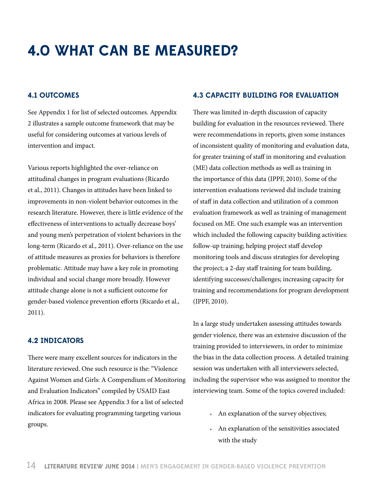### **4.0 What can be measured?**

#### **4.1 Outcomes**

See Appendix 1 for list of selected outcomes. Appendix 2 illustrates a sample outcome framework that may be useful for considering outcomes at various levels of intervention and impact.

Various reports highlighted the over-reliance on attitudinal changes in program evaluations (Ricardo et al., 2011). Changes in attitudes have been linked to improvements in non-violent behavior outcomes in the research literature. However, there is little evidence of the effectiveness of interventions to actually decrease boys' and young men's perpetration of violent behaviors in the long-term (Ricardo et al., 2011). Over-reliance on the use of attitude measures as proxies for behaviors is therefore problematic. Attitude may have a key role in promoting individual and social change more broadly. However attitude change alone is not a sufficient outcome for gender-based violence prevention efforts (Ricardo et al., 2011).

#### **4.2 Indicators**

There were many excellent sources for indicators in the literature reviewed. One such resource is the: "Violence Against Women and Girls: A Compendium of Monitoring and Evaluation Indicators" compiled by USAID East Africa in 2008. Please see Appendix 3 for a list of selected indicators for evaluating programming targeting various groups.

#### **4.3 Capacity building for evaluation**

There was limited in-depth discussion of capacity building for evaluation in the resources reviewed. There were recommendations in reports, given some instances of inconsistent quality of monitoring and evaluation data, for greater training of staff in monitoring and evaluation (ME) data collection methods as well as training in the importance of this data (IPPF, 2010). Some of the intervention evaluations reviewed did include training of staff in data collection and utilization of a common evaluation framework as well as training of management focused on ME. One such example was an intervention which included the following capacity building activities: follow-up training; helping project staff develop monitoring tools and discuss strategies for developing the project; a 2-day staff training for team building, identifying successes/challenges; increasing capacity for training and recommendations for program development (IPPF, 2010).

In a large study undertaken assessing attitudes towards gender violence, there was an extensive discussion of the training provided to interviewers, in order to minimize the bias in the data collection process. A detailed training session was undertaken with all interviewers selected, including the supervisor who was assigned to monitor the interviewing team. Some of the topics covered included:

- $\blacktriangleright$  An explanation of the survey objectives;
- $\triangleright$  An explanation of the sensitivities associated with the study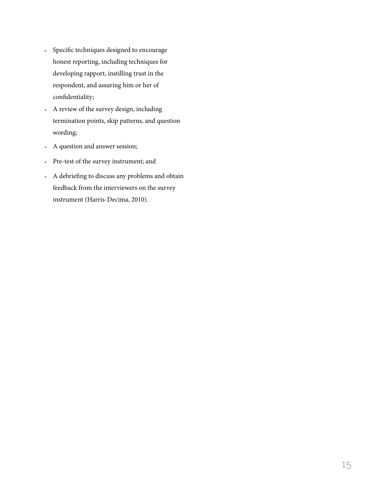- ▶ Specific techniques designed to encourage honest reporting, including techniques for developing rapport, instilling trust in the respondent, and assuring him or her of confidentiality;
- $\triangleright$  A review of the survey design, including termination points, skip patterns, and question wording;
- $\triangleright$  A question and answer session;
- $\blacktriangleright$  Pre-test of the survey instrument; and
- $\triangleright$  A debriefing to discuss any problems and obtain feedback from the interviewers on the survey instrument (Harris-Decima, 2010).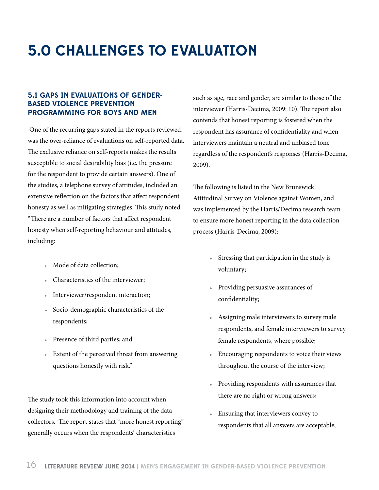## **5.0 Challenges to Evaluation**

#### **5.1 Gaps in evaluations of genderbased violence prevention programming for boys and men**

 One of the recurring gaps stated in the reports reviewed, was the over-reliance of evaluations on self-reported data. The exclusive reliance on self-reports makes the results susceptible to social desirability bias (i.e. the pressure for the respondent to provide certain answers). One of the studies, a telephone survey of attitudes, included an extensive reflection on the factors that affect respondent honesty as well as mitigating strategies. This study noted: "There are a number of factors that affect respondent honesty when self-reporting behaviour and attitudes, including:

- ▶ Mode of data collection;
- Characteristics of the interviewer;
- Interviewer/respondent interaction;
- Socio-demographic characteristics of the respondents;
- ▶ Presence of third parties; and
- $\blacktriangleright$  Extent of the perceived threat from answering questions honestly with risk."

The study took this information into account when designing their methodology and training of the data collectors. The report states that "more honest reporting" generally occurs when the respondents' characteristics

such as age, race and gender, are similar to those of the interviewer (Harris-Decima, 2009: 10). The report also contends that honest reporting is fostered when the respondent has assurance of confidentiality and when interviewers maintain a neutral and unbiased tone regardless of the respondent's responses (Harris-Decima, 2009).

The following is listed in the New Brunswick Attitudinal Survey on Violence against Women, and was implemented by the Harris/Decima research team to ensure more honest reporting in the data collection process (Harris-Decima, 2009):

- $\triangleright$  Stressing that participation in the study is voluntary;
- ▶ Providing persuasive assurances of confidentiality;
- $\blacktriangleright$  Assigning male interviewers to survey male respondents, and female interviewers to survey female respondents, where possible;
- Encouraging respondents to voice their views throughout the course of the interview;
- $\blacktriangleright$  Providing respondents with assurances that there are no right or wrong answers;
- ▶ Ensuring that interviewers convey to respondents that all answers are acceptable;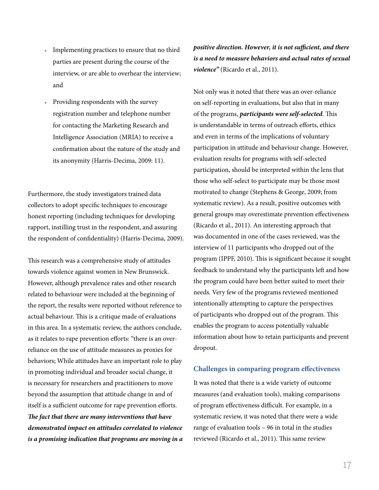- **Implementing practices to ensure that no third** parties are present during the course of the interview, or are able to overhear the interview; and
- ▶ Providing respondents with the survey registration number and telephone number for contacting the Marketing Research and Intelligence Association (MRIA) to receive a confirmation about the nature of the study and its anonymity (Harris-Decima, 2009: 11).

Furthermore, the study investigators trained data collectors to adopt specific techniques to encourage honest reporting (including techniques for developing rapport, instilling trust in the respondent, and assuring the respondent of confidentiality) (Harris-Decima, 2009).

This research was a comprehensive study of attitudes towards violence against women in New Brunswick. However, although prevalence rates and other research related to behaviour were included at the beginning of the report, the results were reported without reference to actual behaviour. This is a critique made of evaluations in this area. In a systematic review, the authors conclude, as it relates to rape prevention efforts: "there is an overreliance on the use of attitude measures as proxies for behaviors; While attitudes have an important role to play in promoting individual and broader social change, it is necessary for researchers and practitioners to move beyond the assumption that attitude change in and of itself is a sufficient outcome for rape prevention efforts. *The fact that there are many interventions that have demonstrated impact on attitudes correlated to violence is a promising indication that programs are moving in a*  *positive direction. However, it is not sufficient, and there is a need to measure behaviors and actual rates of sexual violence*" (Ricardo et al., 2011).

Not only was it noted that there was an over-reliance on self-reporting in evaluations, but also that in many of the programs, *participants were self-selected*. This is understandable in terms of outreach efforts, ethics and even in terms of the implications of voluntary participation in attitude and behaviour change. However, evaluation results for programs with self-selected participation, should be interpreted within the lens that those who self-select to participate may be those most motivated to change (Stephens & George, 2009; from systematic review). As a result, positive outcomes with general groups may overestimate prevention effectiveness (Ricardo et al., 2011). An interesting approach that was documented in one of the cases reviewed, was the interview of 11 participants who dropped out of the program (IPPF, 2010). This is significant because it sought feedback to understand why the participants left and how the program could have been better suited to meet their needs. Very few of the programs reviewed mentioned intentionally attempting to capture the perspectives of participants who dropped out of the program. This enables the program to access potentially valuable information about how to retain participants and prevent dropout.

#### **Challenges in comparing program effectiveness**

It was noted that there is a wide variety of outcome measures (and evaluation tools), making comparisons of program effectiveness difficult. For example, in a systematic review, it was noted that there were a wide range of evaluation tools – 96 in total in the studies reviewed (Ricardo et al., 2011). This same review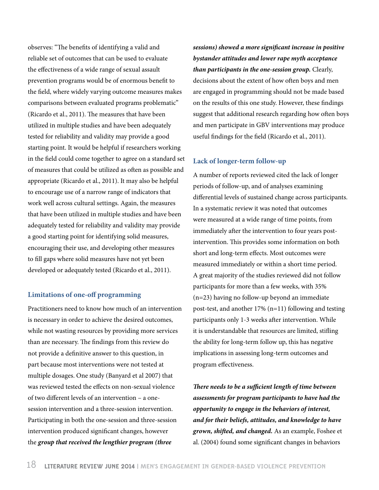observes: "The benefits of identifying a valid and reliable set of outcomes that can be used to evaluate the effectiveness of a wide range of sexual assault prevention programs would be of enormous benefit to the field, where widely varying outcome measures makes comparisons between evaluated programs problematic" (Ricardo et al., 2011). The measures that have been utilized in multiple studies and have been adequately tested for reliability and validity may provide a good starting point. It would be helpful if researchers working in the field could come together to agree on a standard set of measures that could be utilized as often as possible and appropriate (Ricardo et al., 2011). It may also be helpful to encourage use of a narrow range of indicators that work well across cultural settings. Again, the measures that have been utilized in multiple studies and have been adequately tested for reliability and validity may provide a good starting point for identifying solid measures, encouraging their use, and developing other measures to fill gaps where solid measures have not yet been developed or adequately tested (Ricardo et al., 2011).

#### **Limitations of one-off programming**

Practitioners need to know how much of an intervention is necessary in order to achieve the desired outcomes, while not wasting resources by providing more services than are necessary. The findings from this review do not provide a definitive answer to this question, in part because most interventions were not tested at multiple dosages. One study (Banyard et al 2007) that was reviewed tested the effects on non-sexual violence of two different levels of an intervention – a onesession intervention and a three-session intervention. Participating in both the one-session and three-session intervention produced significant changes, however the *group that received the lengthier program (three* 

*sessions) showed a more significant increase in positive bystander attitudes and lower rape myth acceptance than participants in the one-session group.* Clearly, decisions about the extent of how often boys and men are engaged in programming should not be made based on the results of this one study. However, these findings suggest that additional research regarding how often boys and men participate in GBV interventions may produce useful findings for the field (Ricardo et al., 2011).

#### **Lack of longer-term follow-up**

A number of reports reviewed cited the lack of longer periods of follow-up, and of analyses examining differential levels of sustained change across participants. In a systematic review it was noted that outcomes were measured at a wide range of time points, from immediately after the intervention to four years postintervention. This provides some information on both short and long-term effects. Most outcomes were measured immediately or within a short time period. A great majority of the studies reviewed did not follow participants for more than a few weeks, with 35% (n=23) having no follow-up beyond an immediate post-test, and another 17% (n=11) following and testing participants only 1-3 weeks after intervention. While it is understandable that resources are limited, stifling the ability for long-term follow up, this has negative implications in assessing long-term outcomes and program effectiveness.

*There needs to be a sufficient length of time between assessments for program participants to have had the opportunity to engage in the behaviors of interest, and for their beliefs, attitudes, and knowledge to have grown, shifted, and changed.* As an example, Foshee et al. (2004) found some significant changes in behaviors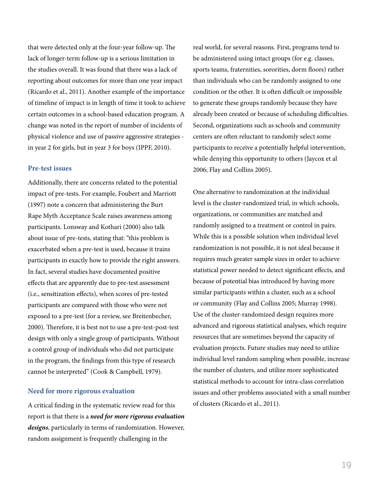that were detected only at the four-year follow-up. The lack of longer-term follow-up is a serious limitation in the studies overall. It was found that there was a lack of reporting about outcomes for more than one year impact (Ricardo et al., 2011). Another example of the importance of timeline of impact is in length of time it took to achieve certain outcomes in a school-based education program. A change was noted in the report of number of incidents of physical violence and use of passive aggressive strategies in year 2 for girls, but in year 3 for boys (IPPF, 2010).

#### **Pre-test issues**

Additionally, there are concerns related to the potential impact of pre-tests. For example, Foubert and Marriott (1997) note a concern that administering the Burt Rape Myth Acceptance Scale raises awareness among participants. Lonsway and Kothari (2000) also talk about issue of pre-tests, stating that: "this problem is exacerbated when a pre-test is used, because it trains participants in exactly how to provide the right answers. In fact, several studies have documented positive effects that are apparently due to pre-test assessment (i.e., sensitization effects), when scores of pre-tested participants are compared with those who were not exposed to a pre-test (for a review, see Breitenbecher, 2000). Therefore, it is best not to use a pre-test-post-test design with only a single group of participants. Without a control group of individuals who did not participate in the program, the findings from this type of research cannot be interpreted" (Cook & Campbell, 1979).

#### **Need for more rigorous evaluation**

A critical finding in the systematic review read for this report is that there is a *need for more rigorous evaluation designs*, particularly in terms of randomization. However, random assignment is frequently challenging in the

real world, for several reasons. First, programs tend to be administered using intact groups (for e.g. classes, sports teams, fraternities, sororities, dorm floors) rather than individuals who can be randomly assigned to one condition or the other. It is often difficult or impossible to generate these groups randomly because they have already been created or because of scheduling difficulties. Second, organizations such as schools and community centers are often reluctant to randomly select some participants to receive a potentially helpful intervention, while denying this opportunity to others (Jaycox et al 2006; Flay and Collins 2005).

One alternative to randomization at the individual level is the cluster-randomized trial, in which schools, organizations, or communities are matched and randomly assigned to a treatment or control in pairs. While this is a possible solution when individual level randomization is not possible, it is not ideal because it requires much greater sample sizes in order to achieve statistical power needed to detect significant effects, and because of potential bias introduced by having more similar participants within a cluster, such as a school or community (Flay and Collins 2005; Murray 1998). Use of the cluster-randomized design requires more advanced and rigorous statistical analyses, which require resources that are sometimes beyond the capacity of evaluation projects. Future studies may need to utilize individual level random sampling when possible, increase the number of clusters, and utilize more sophisticated statistical methods to account for intra-class correlation issues and other problems associated with a small number of clusters (Ricardo et al., 2011).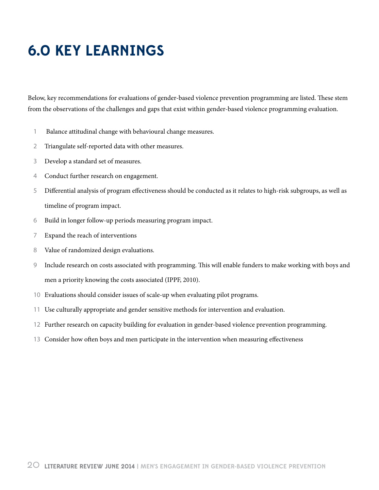### **6.0 Key Learnings**

Below, key recommendations for evaluations of gender-based violence prevention programming are listed. These stem from the observations of the challenges and gaps that exist within gender-based violence programming evaluation.

- Balance attitudinal change with behavioural change measures.
- Triangulate self-reported data with other measures.
- Develop a standard set of measures.
- Conduct further research on engagement.
- Differential analysis of program effectiveness should be conducted as it relates to high-risk subgroups, as well as timeline of program impact.
- Build in longer follow-up periods measuring program impact.
- Expand the reach of interventions
- Value of randomized design evaluations.
- Include research on costs associated with programming. This will enable funders to make working with boys and men a priority knowing the costs associated (IPPF, 2010).
- Evaluations should consider issues of scale-up when evaluating pilot programs.
- Use culturally appropriate and gender sensitive methods for intervention and evaluation.
- Further research on capacity building for evaluation in gender-based violence prevention programming.
- Consider how often boys and men participate in the intervention when measuring effectiveness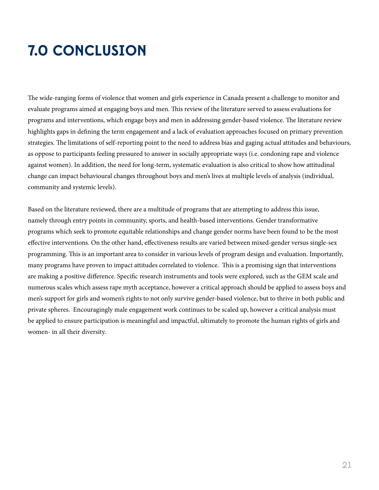## **7.0 Conclusion**

The wide-ranging forms of violence that women and girls experience in Canada present a challenge to monitor and evaluate programs aimed at engaging boys and men. This review of the literature served to assess evaluations for programs and interventions, which engage boys and men in addressing gender-based violence. The literature review highlights gaps in defining the term engagement and a lack of evaluation approaches focused on primary prevention strategies. The limitations of self-reporting point to the need to address bias and gaging actual attitudes and behaviours, as oppose to participants feeling pressured to answer in socially appropriate ways (i.e. condoning rape and violence against women). In addition, the need for long-term, systematic evaluation is also critical to show how attitudinal change can impact behavioural changes throughout boys and men's lives at multiple levels of analysis (individual, community and systemic levels).

Based on the literature reviewed, there are a multitude of programs that are attempting to address this issue, namely through entry points in community, sports, and health-based interventions. Gender transformative programs which seek to promote equitable relationships and change gender norms have been found to be the most effective interventions. On the other hand, effectiveness results are varied between mixed-gender versus single-sex programming. This is an important area to consider in various levels of program design and evaluation. Importantly, many programs have proven to impact attitudes correlated to violence. This is a promising sign that interventions are making a positive difference. Specific research instruments and tools were explored, such as the GEM scale and numerous scales which assess rape myth acceptance, however a critical approach should be applied to assess boys and men's support for girls and women's rights to not only survive gender-based violence, but to thrive in both public and private spheres. Encouragingly male engagement work continues to be scaled up, however a critical analysis must be applied to ensure participation is meaningful and impactful, ultimately to promote the human rights of girls and women- in all their diversity.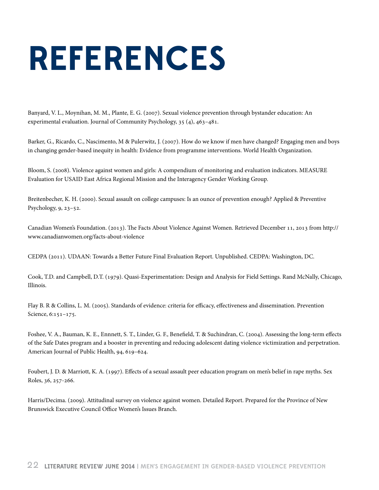## **References**

Banyard, V. L., Moynihan, M. M., Plante, E. G. (2007). Sexual violence prevention through bystander education: An experimental evaluation. Journal of Community Psychology, 35 (4), 463–481.

Barker, G., Ricardo, C., Nascimento, M & Pulerwitz, J. (2007). How do we know if men have changed? Engaging men and boys in changing gender-based inequity in health: Evidence from programme interventions. World Health Organization.

Bloom, S. (2008). Violence against women and girls: A compendium of monitoring and evaluation indicators. MEASURE Evaluation for USAID East Africa Regional Mission and the Interagency Gender Working Group.

Breitenbecher, K. H. (2000). Sexual assault on college campuses: Is an ounce of prevention enough? Applied & Preventive Psychology, 9, 23–52.

Canadian Women's Foundation. (2013). The Facts About Violence Against Women. Retrieved December 11, 2013 from http:// www.canadianwomen.org/facts-about-violence

CEDPA (2011). UDAAN: Towards a Better Future Final Evaluation Report. Unpublished. CEDPA: Washington, DC.

Cook, T.D. and Campbell, D.T. (1979). Quasi-Experimentation: Design and Analysis for Field Settings. Rand McNally, Chicago, Illinois.

Flay B. R & Collins, L. M. (2005). Standards of evidence: criteria for efficacy, effectiveness and dissemination. Prevention Science, 6:151–175.

Foshee, V. A., Bauman, K. E., Ennnett, S. T., Linder, G. F., Benefield, T. & Suchindran, C. (2004). Assessing the long-term effects of the Safe Dates program and a booster in preventing and reducing adolescent dating violence victimization and perpetration. American Journal of Public Health, 94, 619–624.

Foubert, J. D. & Marriott, K. A. (1997). Effects of a sexual assault peer education program on men's belief in rape myths. Sex Roles, 36, 257-266.

Harris/Decima. (2009). Attitudinal survey on violence against women. Detailed Report. Prepared for the Province of New Brunswick Executive Council Office Women's Issues Branch.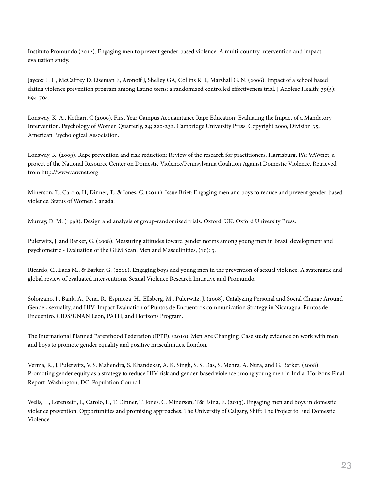Instituto Promundo (2012). Engaging men to prevent gender-based violence: A multi-country intervention and impact evaluation study.

Jaycox L. H, McCaffrey D, Eiseman E, Aronoff J, Shelley GA, Collins R. L, Marshall G. N. (2006). Impact of a school based dating violence prevention program among Latino teens: a randomized controlled effectiveness trial. J Adolesc Health; 39(5): 694-704.

Lonsway, K. A., Kothari, C (2000). First Year Campus Acquaintance Rape Education: Evaluating the Impact of a Mandatory Intervention. Psychology of Women Quarterly, 24; 220-232. Cambridge University Press. Copyright 2000, Division 35, American Psychological Association.

Lonsway, K. (2009). Rape prevention and risk reduction: Review of the research for practitioners. Harrisburg, PA: VAWnet, a project of the National Resource Center on Domestic Violence/Pennsylvania Coalition Against Domestic Violence. Retrieved from http://www.vawnet.org

Minerson, T., Carolo, H, Dinner, T., & Jones, C. (2011). Issue Brief: Engaging men and boys to reduce and prevent gender-based violence. Status of Women Canada.

Murray, D. M. (1998). Design and analysis of group-randomized trials. Oxford, UK: Oxford University Press.

Pulerwitz, J. and Barker, G. (2008). Measuring attitudes toward gender norms among young men in Brazil development and psychometric - Evaluation of the GEM Scan. Men and Masculinities, (10): 3.

Ricardo, C., Eads M., & Barker, G. (2011). Engaging boys and young men in the prevention of sexual violence: A systematic and global review of evaluated interventions. Sexual Violence Research Initiative and Promundo.

Solorzano, I., Bank, A., Pena, R., Espinoza, H., Ellsberg, M., Pulerwitz, J. (2008). Catalyzing Personal and Social Change Around Gender, sexuality, and HIV: Impact Evaluation of Puntos de Encuentro's communication Strategy in Nicaragua. Puntos de Encuentro. CIDS/UNAN Leon, PATH, and Horizons Program.

The International Planned Parenthood Federation (IPPF). (2010). Men Are Changing: Case study evidence on work with men and boys to promote gender equality and positive masculinities. London.

Verma, R., J. Pulerwitz, V. S. Mahendra, S. Khandekar, A. K. Singh, S. S. Das, S. Mehra, A. Nura, and G. Barker. (2008). Promoting gender equity as a strategy to reduce HIV risk and gender-based violence among young men in India. Horizons Final Report. Washington, DC: Population Council.

Wells, L., Lorenzetti, L, Carolo, H, T. Dinner, T. Jones, C. Minerson, T& Esina, E. (2013). Engaging men and boys in domestic violence prevention: Opportunities and promising approaches. The University of Calgary, Shift: The Project to End Domestic Violence.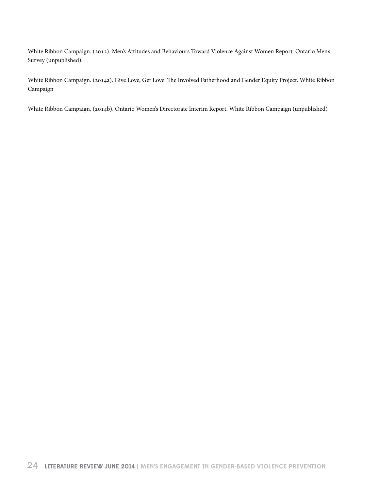White Ribbon Campaign. (2012). Men's Attitudes and Behaviours Toward Violence Against Women Report. Ontario Men's Survey (unpublished).

White Ribbon Campaign. (2014a). Give Love, Get Love. The Involved Fatherhood and Gender Equity Project. White Ribbon Campaign

White Ribbon Campaign, (2014b). Ontario Women's Directorate Interim Report. White Ribbon Campaign (unpublished)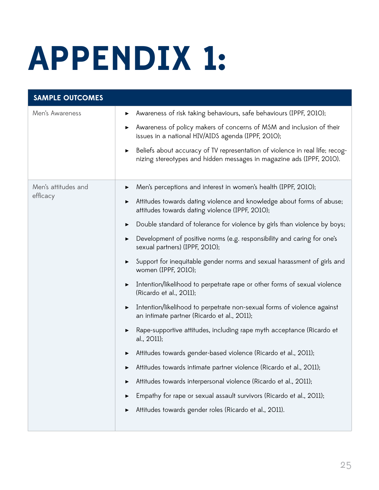# **Appendix 1:**

| <b>SAMPLE OUTCOMES</b>          |                                                                                                                                                           |
|---------------------------------|-----------------------------------------------------------------------------------------------------------------------------------------------------------|
| Men's Awareness                 | Awareness of risk taking behaviours, safe behaviours (IPPF, 2010);                                                                                        |
|                                 | Awareness of policy makers of concerns of MSM and inclusion of their<br>issues in a national HIV/AIDS agenda (IPPF, 2010);                                |
|                                 | Beliefs about accuracy of TV representation of violence in real life; recog-<br>▶<br>nizing stereotypes and hidden messages in magazine ads (IPPF, 2010). |
| Men's attitudes and<br>efficacy | Men's perceptions and interest in women's health (IPPF, 2010);                                                                                            |
|                                 | Attitudes towards dating violence and knowledge about forms of abuse;<br>▶<br>attitudes towards dating violence (IPPF, 2010);                             |
|                                 | Double standard of tolerance for violence by girls than violence by boys;<br>▶                                                                            |
|                                 | Development of positive norms (e.g. responsibility and caring for one's<br>▶<br>sexual partners) (IPPF, 2010);                                            |
|                                 | > Support for inequitable gender norms and sexual harassment of girls and<br>women (IPPF, 2010);                                                          |
|                                 | Intention/likelihood to perpetrate rape or other forms of sexual violence<br>▶<br>(Ricardo et al., 2011);                                                 |
|                                 | Intention/likelihood to perpetrate non-sexual forms of violence against<br>▶<br>an intimate partner (Ricardo et al., 2011);                               |
|                                 | Rape-supportive attitudes, including rape myth acceptance (Ricardo et<br>▶<br>al., 2011);                                                                 |
|                                 | Attitudes towards gender-based violence (Ricardo et al., 2011);<br>▶                                                                                      |
|                                 | Attitudes towards intimate partner violence (Ricardo et al., 2011);                                                                                       |
|                                 | Attitudes towards interpersonal violence (Ricardo et al., 2011);<br>▶                                                                                     |
|                                 | Empathy for rape or sexual assault survivors (Ricardo et al., 2011);                                                                                      |
|                                 | Attitudes towards gender roles (Ricardo et al., 2011).                                                                                                    |
|                                 |                                                                                                                                                           |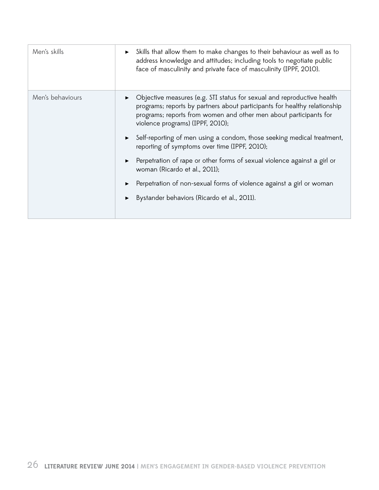| Men's skills     | Skills that allow them to make changes to their behaviour as well as to<br>address knowledge and attitudes; including tools to negotiate public<br>face of masculinity and private face of masculinity (IPPF, 2010).                                           |
|------------------|----------------------------------------------------------------------------------------------------------------------------------------------------------------------------------------------------------------------------------------------------------------|
| Men's behaviours | • Objective measures (e.g. STI status for sexual and reproductive health<br>programs; reports by partners about participants for healthy relationship<br>programs; reports from women and other men about participants for<br>violence programs) (IPPF, 2010); |
|                  | Self-reporting of men using a condom, those seeking medical treatment,<br>reporting of symptoms over time (IPPF, 2010);                                                                                                                                        |
|                  | Perpetration of rape or other forms of sexual violence against a girl or<br>woman (Ricardo et al., 2011);                                                                                                                                                      |
|                  | Perpetration of non-sexual forms of violence against a girl or woman                                                                                                                                                                                           |
|                  | Bystander behaviors (Ricardo et al., 2011).                                                                                                                                                                                                                    |
|                  |                                                                                                                                                                                                                                                                |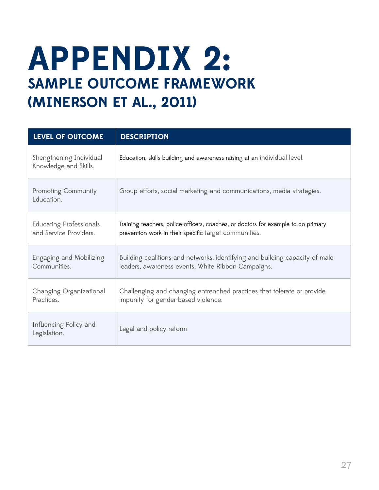## **Appendix 2: Sample outcome framework (Minerson et al., 2011)**

| <b>LEVEL OF OUTCOME</b>                           | <b>DESCRIPTION</b>                                                                                                                         |
|---------------------------------------------------|--------------------------------------------------------------------------------------------------------------------------------------------|
| Strengthening Individual<br>Knowledge and Skills. | Education, skills building and awareness raising at an individual level.                                                                   |
| Promoting Community<br>Education.                 | Group efforts, social marketing and communications, media strategies.                                                                      |
| Educating Professionals<br>and Service Providers. | Training teachers, police officers, coaches, or doctors for example to do primary<br>prevention work in their specific target communities. |
| Engaging and Mobilizing<br>Communities.           | Building coalitions and networks, identifying and building capacity of male<br>leaders, awareness events, White Ribbon Campaigns.          |
| Changing Organizational<br>Practices.             | Challenging and changing entrenched practices that tolerate or provide<br>impunity for gender-based violence.                              |
| Influencing Policy and<br>Legislation.            | Legal and policy reform                                                                                                                    |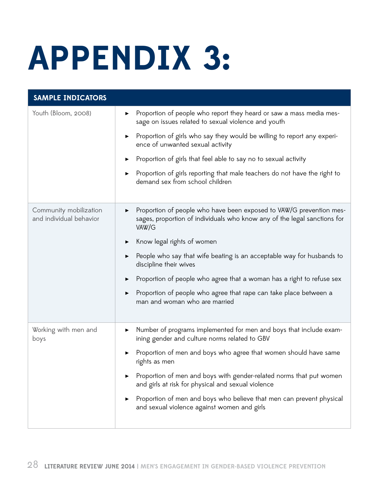# **Appendix 3:**

| <b>SAMPLE INDICATORS</b>                          |                                                                                                                                                          |
|---------------------------------------------------|----------------------------------------------------------------------------------------------------------------------------------------------------------|
| Youth (Bloom, 2008)                               | Proportion of people who report they heard or saw a mass media mes-<br>►<br>sage on issues related to sexual violence and youth                          |
|                                                   | Proportion of girls who say they would be willing to report any experi-<br>$\blacktriangleright$<br>ence of unwanted sexual activity                     |
|                                                   | Proportion of girls that feel able to say no to sexual activity<br>►                                                                                     |
|                                                   | Proportion of girls reporting that male teachers do not have the right to<br>▶<br>demand sex from school children                                        |
| Community mobilization<br>and individual behavior | Proportion of people who have been exposed to VAW/G prevention mes-<br>sages, proportion of individuals who know any of the legal sanctions for<br>VAW/G |
|                                                   | Know legal rights of women<br>▶                                                                                                                          |
|                                                   | People who say that wife beating is an acceptable way for husbands to<br>▶<br>discipline their wives                                                     |
|                                                   | Proportion of people who agree that a woman has a right to refuse sex<br>▶                                                                               |
|                                                   | Proportion of people who agree that rape can take place between a<br>▶<br>man and woman who are married                                                  |
| Working with men and<br>boys                      | Number of programs implemented for men and boys that include exam-<br>▶<br>ining gender and culture norms related to GBV                                 |
|                                                   | Proportion of men and boys who agree that women should have same<br>▶<br>rights as men                                                                   |
|                                                   | Proportion of men and boys with gender-related norms that put women<br>▶<br>and girls at risk for physical and sexual violence                           |
|                                                   | Proportion of men and boys who believe that men can prevent physical<br>▶<br>and sexual violence against women and girls                                 |
|                                                   |                                                                                                                                                          |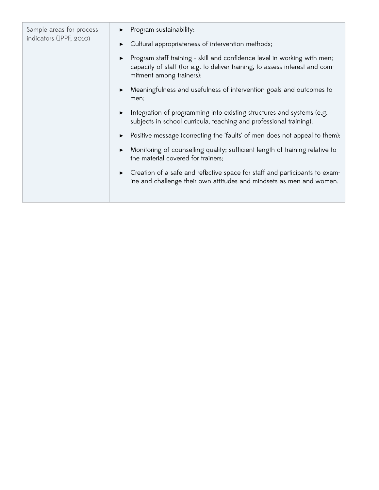| Sample areas for process<br>indicators (IPPF, 2010) |                       | $\blacktriangleright$ Program sustainability;                                                                                                                                        |
|-----------------------------------------------------|-----------------------|--------------------------------------------------------------------------------------------------------------------------------------------------------------------------------------|
|                                                     |                       | Cultural appropriateness of intervention methods;                                                                                                                                    |
|                                                     |                       | Program staff training - skill and confidence level in working with men;<br>capacity of staff (for e.g. to deliver training, to assess interest and com-<br>mitment among trainers); |
|                                                     |                       | • Meaningfulness and usefulness of intervention goals and outcomes to<br>men;                                                                                                        |
|                                                     | $\blacktriangleright$ | Integration of programming into existing structures and systems (e.g.<br>subjects in school curricula, teaching and professional training);                                          |
|                                                     |                       | Positive message (correcting the 'faults' of men does not appeal to them);                                                                                                           |
|                                                     |                       | Monitoring of counselling quality; sufficient length of training relative to<br>the material covered for trainers;                                                                   |
|                                                     |                       | ► Creation of a safe and refective space for staff and participants to exam-<br>ine and challenge their own attitudes and mindsets as men and women.                                 |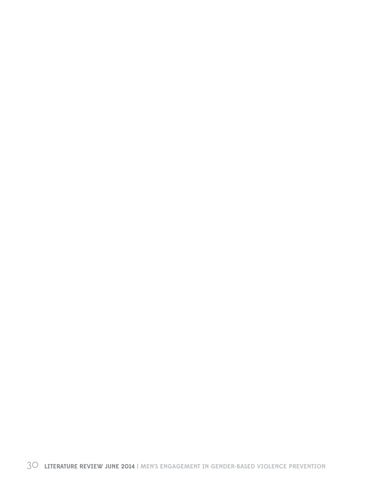**Literature review June 2014 | Men's Engagement in Gender-Based Violence Prevention**